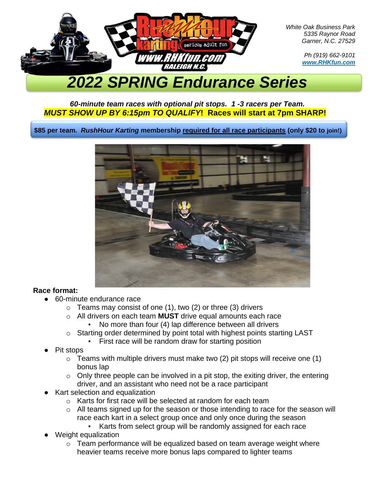

*White Oak Business Park 5335 Raynor Road Garner, N.C. 27529*

> *Ph (919) 662-9101 www.RHKfun.com*

# *2022 SPRING Endurance Series*

## *60-minute team races with optional pit stops. 1 -3 racers per Team. MUST SHOW UP BY 6:15pm TO QUALIFY***! Races will start at 7pm SHARP!**

**\$85 per team.** *RushHour Karting* **membership required for all race participants (only \$20 to join!)**



## **Race format:**

- 60-minute endurance race
	- $\circ$  Teams may consist of one (1), two (2) or three (3) drivers
	- o All drivers on each team **MUST** drive equal amounts each race
		- No more than four (4) lap difference between all drivers
	- o Starting order determined by point total with highest points starting LAST
		- First race will be random draw for starting position
- Pit stops
	- $\circ$  Teams with multiple drivers must make two (2) pit stops will receive one (1) bonus lap
	- $\circ$  Only three people can be involved in a pit stop, the exiting driver, the entering driver, and an assistant who need not be a race participant
- Kart selection and equalization
	- o Karts for first race will be selected at random for each team
	- o All teams signed up for the season or those intending to race for the season will race each kart in a select group once and only once during the season
		- Karts from select group will be randomly assigned for each race
- Weight equalization
	- o Team performance will be equalized based on team average weight where heavier teams receive more bonus laps compared to lighter teams